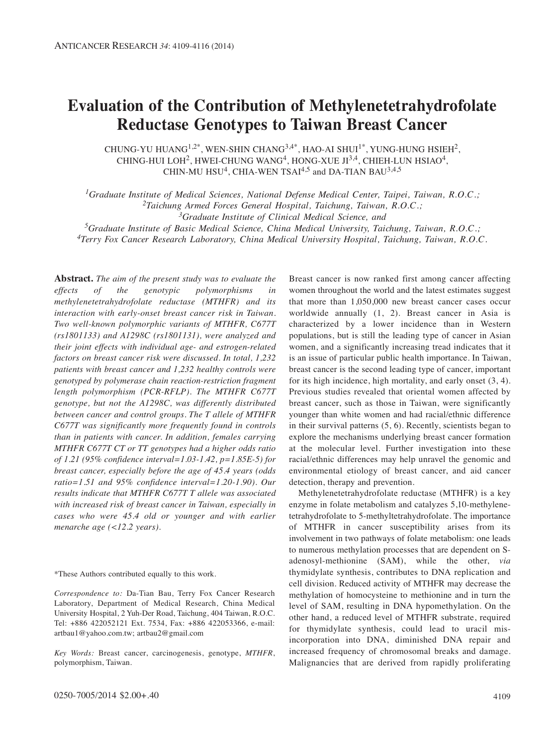# **Evaluation of the Contribution of Methylenetetrahydrofolate Reductase Genotypes to Taiwan Breast Cancer**

CHUNG-YU HUANG<sup>1,2\*</sup>, WEN-SHIN CHANG<sup>3,4\*</sup>, HAO-AI SHUI<sup>1\*</sup>, YUNG-HUNG HSIEH<sup>2</sup>, CHING-HUI LOH<sup>2</sup>, HWEI-CHUNG WANG<sup>4</sup>, HONG-XUE  $JI^{3,4}$ , CHIEH-LUN HSIAO<sup>4</sup>, CHIN-MU HSU<sup>4</sup>, CHIA-WEN TSAI<sup>4,5</sup> and DA-TIAN BAU<sup>3,4,5</sup>

*1Graduate Institute of Medical Sciences, National Defense Medical Center, Taipei, Taiwan, R.O.C.; 2Taichung Armed Forces General Hospital, Taichung, Taiwan, R.O.C.; 3Graduate Institute of Clinical Medical Science, and*

*5Graduate Institute of Basic Medical Science, China Medical University, Taichung, Taiwan, R.O.C.; 4Terry Fox Cancer Research Laboratory, China Medical University Hospital, Taichung, Taiwan, R.O.C.*

**Abstract.** *The aim of the present study was to evaluate the effects of the genotypic polymorphisms in methylenetetrahydrofolate reductase (MTHFR) and its interaction with early-onset breast cancer risk in Taiwan. Two well-known polymorphic variants of MTHFR, C677T (rs1801133) and A1298C (rs1801131), were analyzed and their joint effects with individual age- and estrogen-related factors on breast cancer risk were discussed. In total, 1,232 patients with breast cancer and 1,232 healthy controls were genotyped by polymerase chain reaction-restriction fragment length polymorphism (PCR-RFLP). The MTHFR C677T genotype, but not the A1298C, was differently distributed between cancer and control groups. The T allele of MTHFR C677T was significantly more frequently found in controls than in patients with cancer. In addition, females carrying MTHFR C677T CT or TT genotypes had a higher odds ratio of 1.21 (95% confidence interval=1.03-1.42, p=1.85E-5) for breast cancer, especially before the age of 45.4 years (odds ratio=1.51 and 95% confidence interval=1.20-1.90). Our results indicate that MTHFR C677T T allele was associated with increased risk of breast cancer in Taiwan, especially in cases who were 45.4 old or younger and with earlier menarche age (<12.2 years).*

\*These Authors contributed equally to this work.

*Correspondence to:* Da-Tian Bau, Terry Fox Cancer Research Laboratory, Department of Medical Research, China Medical University Hospital, 2 Yuh-Der Road, Taichung, 404 Taiwan, R.O.C. Tel: +886 422052121 Ext. 7534, Fax: +886 422053366, e-mail: artbau1@yahoo.com.tw; artbau2@gmail.com

*Key Words:* Breast cancer, carcinogenesis, genotype, *MTHFR*, polymorphism, Taiwan.

Breast cancer is now ranked first among cancer affecting women throughout the world and the latest estimates suggest that more than 1,050,000 new breast cancer cases occur worldwide annually (1, 2). Breast cancer in Asia is characterized by a lower incidence than in Western populations, but is still the leading type of cancer in Asian women, and a significantly increasing tread indicates that it is an issue of particular public health importance. In Taiwan, breast cancer is the second leading type of cancer, important for its high incidence, high mortality, and early onset (3, 4). Previous studies revealed that oriental women affected by breast cancer, such as those in Taiwan, were significantly younger than white women and had racial/ethnic difference in their survival patterns (5, 6). Recently, scientists began to explore the mechanisms underlying breast cancer formation at the molecular level. Further investigation into these racial/ethnic differences may help unravel the genomic and environmental etiology of breast cancer, and aid cancer detection, therapy and prevention.

Methylenetetrahydrofolate reductase (MTHFR) is a key enzyme in folate metabolism and catalyzes 5,10-methylenetetrahydrofolate to 5-methyltetrahydrofolate. The importance of MTHFR in cancer susceptibility arises from its involvement in two pathways of folate metabolism: one leads to numerous methylation processes that are dependent on Sadenosyl-methionine (SAM), while the other, *via* thymidylate synthesis, contributes to DNA replication and cell division. Reduced activity of MTHFR may decrease the methylation of homocysteine to methionine and in turn the level of SAM, resulting in DNA hypomethylation. On the other hand, a reduced level of MTHFR substrate, required for thymidylate synthesis, could lead to uracil misincorporation into DNA, diminished DNA repair and increased frequency of chromosomal breaks and damage. Malignancies that are derived from rapidly proliferating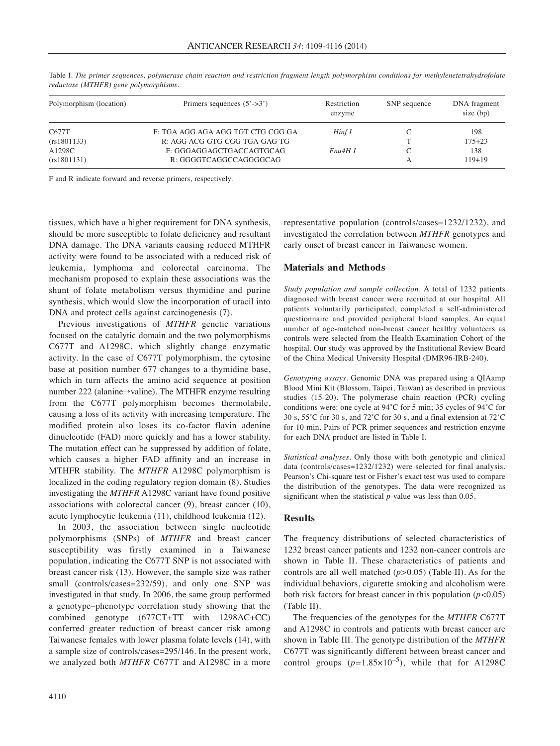| Polymorphism (location) | Primers sequences $(5'$ ->3')                      | Restriction<br>enzyme | SNP sequence | DNA fragment<br>size (bp) |  |
|-------------------------|----------------------------------------------------|-----------------------|--------------|---------------------------|--|
| C677T                   | F: TGA AGG AGA AGG TGT CTG CGG GA                  | Hinf I                |              | 198                       |  |
| (rs1801133)             | R: AGG ACG GTG CGG TGA GAG TG                      |                       |              | $175 + 23$                |  |
| A1298C<br>(rs1801131)   | F: GGGAGGAGCTGACCAGTGCAG<br>R: GGGGTCAGGCCAGGGGCAG | Fnu4H I               |              | 138<br>$119+19$           |  |

Table I. *The primer sequences, polymerase chain reaction and restriction fragment length polymorphism conditions for methylenetetrahydrofolate reductase (MTHFR) gene polymorphisms.*

F and R indicate forward and reverse primers, respectively.

tissues, which have a higher requirement for DNA synthesis, should be more susceptible to folate deficiency and resultant DNA damage. The DNA variants causing reduced MTHFR activity were found to be associated with a reduced risk of leukemia, lymphoma and colorectal carcinoma. The mechanism proposed to explain these associations was the shunt of folate metabolism versus thymidine and purine synthesis, which would slow the incorporation of uracil into DNA and protect cells against carcinogenesis (7).

Previous investigations of *MTHFR* genetic variations focused on the catalytic domain and the two polymorphisms C677T and A1298C, which slightly change enzymatic activity. In the case of C677T polymorphism, the cytosine base at position number 677 changes to a thymidine base, which in turn affects the amino acid sequence at position number 222 (alanine→valine). The MTHFR enzyme resulting from the C677T polymorphism becomes thermolabile, causing a loss of its activity with increasing temperature. The modified protein also loses its co-factor flavin adenine dinucleotide (FAD) more quickly and has a lower stability. The mutation effect can be suppressed by addition of folate, which causes a higher FAD affinity and an increase in MTHFR stability. The *MTHFR* A1298C polymorphism is localized in the coding regulatory region domain (8). Studies investigating the *MTHFR* A1298C variant have found positive associations with colorectal cancer (9), breast cancer (10), acute lymphocytic leukemia (11), childhood leukemia (12).

In 2003, the association between single nucleotide polymorphisms (SNPs) of *MTHFR* and breast cancer susceptibility was firstly examined in a Taiwanese population, indicating the C677T SNP is not associated with breast cancer risk (13). However, the sample size was rather small (controls/cases=232/59), and only one SNP was investigated in that study. In 2006, the same group performed a genotype–phenotype correlation study showing that the combined genotype (677CT+TT with 1298AC+CC) conferred greater reduction of breast cancer risk among Taiwanese females with lower plasma folate levels (14), with a sample size of controls/cases=295/146. In the present work, we analyzed both *MTHFR* C677T and A1298C in a more

representative population (controls/cases=1232/1232), and investigated the correlation between *MTHFR* genotypes and early onset of breast cancer in Taiwanese women.

## **Materials and Methods**

*Study population and sample collection.* A total of 1232 patients diagnosed with breast cancer were recruited at our hospital. All patients voluntarily participated, completed a self-administered questionnaire and provided peripheral blood samples. An equal number of age-matched non-breast cancer healthy volunteers as controls were selected from the Health Examination Cohort of the hospital. Our study was approved by the Institutional Review Board of the China Medical University Hospital (DMR96-IRB-240).

*Genotyping assays.* Genomic DNA was prepared using a QIAamp Blood Mini Kit (Blossom, Taipei, Taiwan) as described in previous studies (15-20). The polymerase chain reaction (PCR) cycling conditions were: one cycle at 94˚C for 5 min; 35 cycles of 94˚C for 30 s, 55˚C for 30 s, and 72˚C for 30 s, and a final extension at 72˚C for 10 min. Pairs of PCR primer sequences and restriction enzyme for each DNA product are listed in Table I.

*Statistical analyses.* Only those with both genotypic and clinical data (controls/cases=1232/1232) were selected for final analysis. Pearson's Chi-square test or Fisher's exact test was used to compare the distribution of the genotypes. The data were recognized as significant when the statistical *p*-value was less than 0.05.

## **Results**

The frequency distributions of selected characteristics of 1232 breast cancer patients and 1232 non-cancer controls are shown in Table II. These characteristics of patients and controls are all well matched (*p>*0.05) (Table II). As for the individual behaviors, cigarette smoking and alcoholism were both risk factors for breast cancer in this population (*p<*0.05) (Table II).

The frequencies of the genotypes for the *MTHFR* C677T and A1298C in controls and patients with breast cancer are shown in Table III. The genotype distribution of the *MTHFR* C677T was significantly different between breast cancer and control groups  $(p=1.85\times10^{-5})$ , while that for A1298C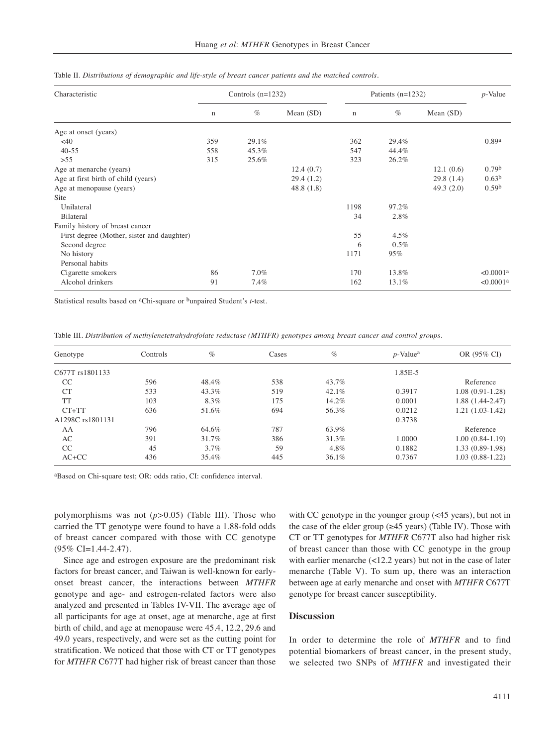| Characteristic                             |             | Controls $(n=1232)$ |             | Patients $(n=1232)$ | $p$ -Value |              |                       |
|--------------------------------------------|-------------|---------------------|-------------|---------------------|------------|--------------|-----------------------|
|                                            | $\mathbf n$ | $\%$                | Mean $(SD)$ | $\mathbf n$         | $\%$       | Mean (SD)    |                       |
| Age at onset (years)                       |             |                     |             |                     |            |              |                       |
| <40                                        | 359         | 29.1%               |             | 362                 | 29.4%      |              | 0.89a                 |
| $40 - 55$                                  | 558         | 45.3%               |             | 547                 | 44.4%      |              |                       |
| >55                                        | 315         | 25.6%               |             | 323                 | 26.2%      |              |                       |
| Age at menarche (years)                    |             |                     | 12.4(0.7)   |                     |            | 12.1(0.6)    | 0.79 <sup>b</sup>     |
| Age at first birth of child (years)        |             |                     | 29.4(1.2)   |                     |            | 29.8(1.4)    | 0.63 <sup>b</sup>     |
| Age at menopause (years)                   |             |                     | 48.8(1.8)   |                     |            | 49.3 $(2.0)$ | 0.59 <sup>b</sup>     |
| Site                                       |             |                     |             |                     |            |              |                       |
| Unilateral                                 |             |                     |             | 1198                | 97.2%      |              |                       |
| Bilateral                                  |             |                     |             | 34                  | 2.8%       |              |                       |
| Family history of breast cancer            |             |                     |             |                     |            |              |                       |
| First degree (Mother, sister and daughter) |             |                     |             | 55                  | $4.5\%$    |              |                       |
| Second degree                              |             |                     |             | 6                   | $0.5\%$    |              |                       |
| No history                                 |             |                     |             | 1171                | 95%        |              |                       |
| Personal habits                            |             |                     |             |                     |            |              |                       |
| Cigarette smokers                          | 86          | 7.0%                |             | 170                 | 13.8%      |              | < 0.0001a             |
| Alcohol drinkers                           | 91          | 7.4%                |             | 162                 | 13.1%      |              | < 0.0001 <sup>a</sup> |

Table II. *Distributions of demographic and life-style of breast cancer patients and the matched controls.*

Statistical results based on aChi-square or bunpaired Student's *t*-test.

Table III. *Distribution of methylenetetrahydrofolate reductase (MTHFR) genotypes among breast cancer and control groups.*

| Genotype         | Controls | $\%$    | Cases | $\%$  | $p$ -Value <sup>a</sup> | OR (95% CI)       |
|------------------|----------|---------|-------|-------|-------------------------|-------------------|
| C677T rs1801133  |          |         |       |       | 1.85E-5                 |                   |
| <sub>CC</sub>    | 596      | 48.4%   | 538   | 43.7% |                         | Reference         |
| CT               | 533      | 43.3%   | 519   | 42.1% | 0.3917                  | 1.08 (0.91-1.28)  |
| <b>TT</b>        | 103      | 8.3%    | 175   | 14.2% | 0.0001                  | 1.88 (1.44-2.47)  |
| $CT+TT$          | 636      | 51.6%   | 694   | 56.3% | 0.0212                  | $1.21(1.03-1.42)$ |
| A1298C rs1801131 |          |         |       |       | 0.3738                  |                   |
| AA               | 796      | 64.6%   | 787   | 63.9% |                         | Reference         |
| AC               | 391      | 31.7%   | 386   | 31.3% | 1.0000                  | 1.00 (0.84-1.19)  |
| CC               | 45       | $3.7\%$ | 59    | 4.8%  | 0.1882                  | 1.33 (0.89-1.98)  |
| $AC+CC$          | 436      | 35.4%   | 445   | 36.1% | 0.7367                  | 1.03 (0.88-1.22)  |

aBased on Chi-square test; OR: odds ratio, CI: confidence interval.

polymorphisms was not (*p>*0.05) (Table III). Those who carried the TT genotype were found to have a 1.88-fold odds of breast cancer compared with those with CC genotype (95% CI=1.44-2.47).

Since age and estrogen exposure are the predominant risk factors for breast cancer, and Taiwan is well-known for earlyonset breast cancer, the interactions between *MTHFR* genotype and age- and estrogen-related factors were also analyzed and presented in Tables IV-VII. The average age of all participants for age at onset, age at menarche, age at first birth of child, and age at menopause were 45.4, 12.2, 29.6 and 49.0 years, respectively, and were set as the cutting point for stratification. We noticed that those with CT or TT genotypes for *MTHFR* C677T had higher risk of breast cancer than those

with CC genotype in the younger group (<45 years), but not in the case of the elder group ( $\geq$ 45 years) (Table IV). Those with CT or TT genotypes for *MTHFR* C677T also had higher risk of breast cancer than those with CC genotype in the group with earlier menarche (<12.2 years) but not in the case of later menarche (Table V). To sum up, there was an interaction between age at early menarche and onset with *MTHFR* C677T genotype for breast cancer susceptibility.

## **Discussion**

In order to determine the role of *MTHFR* and to find potential biomarkers of breast cancer, in the present study, we selected two SNPs of *MTHFR* and investigated their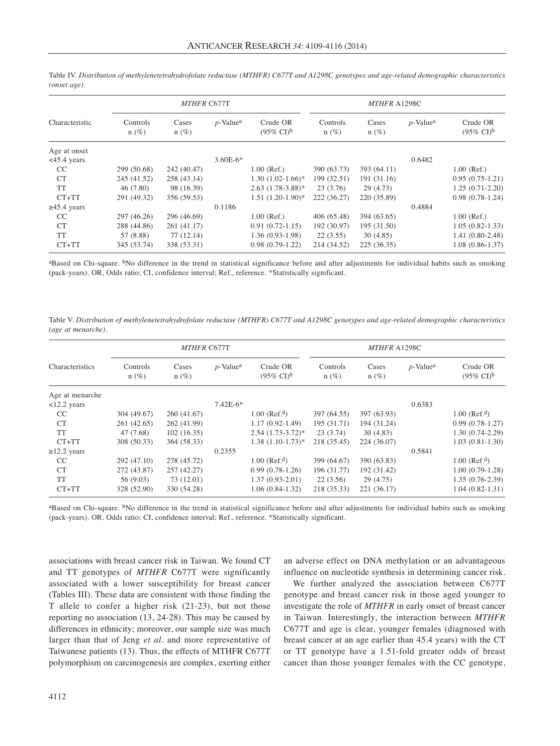|                   |                     | <b>MTHFR C677T</b> |                         | MTHFR A1298C                               |                     |                  |                         |                                            |
|-------------------|---------------------|--------------------|-------------------------|--------------------------------------------|---------------------|------------------|-------------------------|--------------------------------------------|
| Characteristic    | Controls<br>$n(\%)$ | Cases<br>$n(\%)$   | $p$ -Value <sup>a</sup> | Crude OR<br>$(95\% \text{ CI})^{\text{b}}$ | Controls<br>$n(\%)$ | Cases<br>$n(\%)$ | $p$ -Value <sup>a</sup> | Crude OR<br>$(95\% \text{ CI})^{\text{b}}$ |
| Age at onset      |                     |                    |                         |                                            |                     |                  |                         |                                            |
| $<45.4$ years     |                     |                    | $3.60E-6*$              |                                            |                     |                  | 0.6482                  |                                            |
| CC                | 299 (50.68)         | 242 (40.47)        |                         | $1.00$ (Ref.)                              | 390 (63.73)         | 393 (64.11)      |                         | $1.00$ (Ref.)                              |
| <b>CT</b>         | 245 (41.52)         | 258 (43.14)        |                         | $1.30(1.02-1.66)^*$                        | 199 (32.51)         | 191 (31.16)      |                         | $0.95(0.75-1.21)$                          |
| <b>TT</b>         | 46(7.80)            | 98 (16.39)         |                         | $2.63(1.78-3.88)*$                         | 23(3.76)            | 29(4.73)         |                         | $1.25(0.71-2.20)$                          |
| $CT+TT$           | 291 (49.32)         | 356 (59.53)        |                         | $1.51(1.20-1.90)$ *                        | 222 (36.27)         | 220 (35.89)      |                         | $0.98(0.78-1.24)$                          |
| $\geq$ 45.4 years |                     |                    | 0.1186                  |                                            |                     |                  | 0.4884                  |                                            |
| CC                | 297 (46.26)         | 296 (46.69)        |                         | $1.00$ (Ref.)                              | 406 (65.48)         | 394 (63.65)      |                         | $1.00$ (Ref.)                              |
| <b>CT</b>         | 288 (44.86)         | 261 (41.17)        |                         | $0.91(0.72-1.15)$                          | 192 (30.97)         | 195 (31.50)      |                         | $1.05(0.82 - 1.33)$                        |
| <b>TT</b>         | 57 (8.88)           | 77(12.14)          |                         | $1.36(0.93-1.98)$                          | 22(3.55)            | 30(4.85)         |                         | $1.41(0.80-2.48)$                          |
| $CT+TT$           | 345 (53.74)         | 338 (53.31)        |                         | $0.98(0.79-1.22)$                          | 214 (34.52)         | 225 (36.35)      |                         | $1.08(0.86 - 1.37)$                        |

Table IV. *Distribution of methylenetetrahydrofolate reductase (MTHFR) C677T and A1298C genotypes and age-related demographic characteristics (onset age).*

<sup>a</sup>Based on Chi-square. <sup>b</sup>No difference in the trend in statistical significance before and after adjustments for individual habits such as smoking (pack-years). OR, Odds ratio; CI, confidence interval; Ref., reference. \*Statistically significant.

Table V. *Distribution of methylenetetrahydrofolate reductase (MTHFR) C677T and A1298C genotypes and age-related demographic characteristics (age at menarche).*

|                   |                     | <b>MTHFR C677T</b> |                         |                                            | MTHFR A1298C        |                  |                         |                                            |  |
|-------------------|---------------------|--------------------|-------------------------|--------------------------------------------|---------------------|------------------|-------------------------|--------------------------------------------|--|
| Characteristics   | Controls<br>$n(\%)$ | Cases<br>$n(\%)$   | $p$ -Value <sup>a</sup> | Crude OR<br>$(95\% \text{ CI})^{\text{b}}$ | Controls<br>$n(\%)$ | Cases<br>$n(\%)$ | $p$ -Value <sup>a</sup> | Crude OR<br>$(95\% \text{ CI})^{\text{b}}$ |  |
| Age at menarche   |                     |                    |                         |                                            |                     |                  |                         |                                            |  |
| $12.2$ years      |                     |                    | $7.42E-6*$              |                                            |                     |                  | 0.6383                  |                                            |  |
| CC                | 304 (49.67)         | 260(41.67)         |                         | $1.00$ (Ref. <sup>d</sup> )                | 397 (64.55)         | 397 (63.93)      |                         | $1.00$ (Ref. <sup>d</sup> )                |  |
| <b>CT</b>         | 261 (42.65)         | 262 (41.99)        |                         | $1.17(0.92 - 1.49)$                        | 195 (31.71)         | 194 (31.24)      |                         | $0.99(0.78-1.27)$                          |  |
| <b>TT</b>         | 47 (7.68)           | 102(16.35)         |                         | $2.54(1.73-3.72)^{*}$                      | 23(3.74)            | 30(4.83)         |                         | $1.30(0.74-2.29)$                          |  |
| $CT+TT$           | 308 (50.33)         | 364 (58.33)        |                         | $1.38(1.10-1.73)*$                         | 218 (35.45)         | 224 (36.07)      |                         | $1.03(0.81-1.30)$                          |  |
| $\geq$ 12.2 years |                     |                    | 0.2355                  |                                            |                     |                  | 0.5841                  |                                            |  |
| CC                | 292 (47.10)         | 278 (45.72)        |                         | $1.00$ (Ref. <sup>d</sup> )                | 399 (64.67)         | 390 (63.83)      |                         | $1.00$ (Ref. <sup>d</sup> )                |  |
| <b>CT</b>         | 272 (43.87)         | 257 (42.27)        |                         | $0.99(0.78-1.26)$                          | 196 (31.77)         | 192 (31.42)      |                         | $1.00(0.79-1.28)$                          |  |
| <b>TT</b>         | 56 (9.03)           | 73 (12.01)         |                         | $1.37(0.93-2.01)$                          | 22(3.56)            | 29(4.75)         |                         | $1.35(0.76-2.39)$                          |  |
| $CT+TT$           | 328 (52.90)         | 330 (54.28)        |                         | $1.06(0.84-1.32)$                          | 218 (35.33)         | 221 (36.17)      |                         | $1.04(0.82 - 1.31)$                        |  |

aBased on Chi-square. <sup>b</sup>No difference in the trend in statistical significance before and after adjustments for individual habits such as smoking (pack-years). OR, Odds ratio; CI, confidence interval; Ref., reference. \*Statistically significant.

associations with breast cancer risk in Taiwan. We found CT and TT genotypes of *MTHFR* C677T were significantly associated with a lower susceptibility for breast cancer (Tables III). These data are consistent with those finding the T allele to confer a higher risk (21-23), but not those reporting no association (13, 24-28). This may be caused by differences in ethnicity; moreover, our sample size was much larger than that of Jeng *et al.* and more representative of Taiwanese patients (13). Thus, the effects of MTHFR C677T polymorphism on carcinogenesis are complex, exerting either an adverse effect on DNA methylation or an advantageous influence on nucleotide synthesis in determining cancer risk.

We further analyzed the association between C677T genotype and breast cancer risk in those aged younger to investigate the role of *MTHFR* in early onset of breast cancer in Taiwan. Interestingly, the interaction between *MTHFR* C677T and age is clear, younger females (diagnosed with breast cancer at an age earlier than 45.4 years) with the CT or TT genotype have a 1.51-fold greater odds of breast cancer than those younger females with the CC genotype,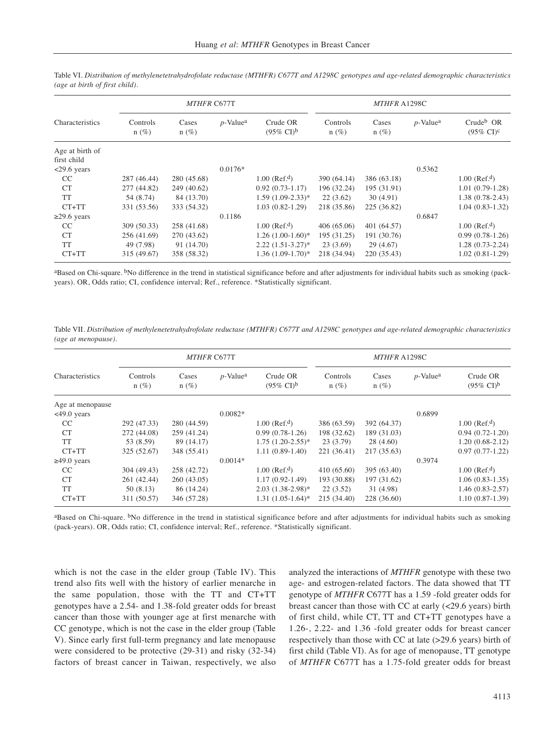|                   |                     | MTHFR C677T      |                         | MTHFR A1298C                               |                     |                  |                         |                                                |
|-------------------|---------------------|------------------|-------------------------|--------------------------------------------|---------------------|------------------|-------------------------|------------------------------------------------|
| Characteristics   | Controls<br>$n(\%)$ | Cases<br>$n(\%)$ | $p$ -Value <sup>a</sup> | Crude OR<br>$(95\% \text{ CI})^{\text{b}}$ | Controls<br>$n(\%)$ | Cases<br>$n(\%)$ | $p$ -Value <sup>a</sup> | Crude <sup>b</sup> OR<br>$(95\% \text{ CI})^c$ |
| Age at birth of   |                     |                  |                         |                                            |                     |                  |                         |                                                |
| first child       |                     |                  |                         |                                            |                     |                  |                         |                                                |
| $<29.6$ years     |                     |                  | $0.0176*$               |                                            |                     |                  | 0.5362                  |                                                |
| CC                | 287 (46.44)         | 280 (45.68)      |                         | $1.00$ (Ref. <sup>d</sup> )                | 390 (64.14)         | 386 (63.18)      |                         | $1.00$ (Ref. <sup>d</sup> )                    |
| <b>CT</b>         | 277 (44.82)         | 249 (40.62)      |                         | $0.92(0.73-1.17)$                          | 196 (32.24)         | 195 (31.91)      |                         | $1.01(0.79-1.28)$                              |
| <b>TT</b>         | 54 (8.74)           | 84 (13.70)       |                         | $1.59(1.09-2.33)*$                         | 22(3.62)            | 30(4.91)         |                         | $1.38(0.78-2.43)$                              |
| $CT+TT$           | 331 (53.56)         | 333 (54.32)      |                         | $1.03(0.82 - 1.29)$                        | 218 (35.86)         | 225 (36.82)      |                         | $1.04(0.83-1.32)$                              |
| $\geq$ 29.6 years |                     |                  | 0.1186                  |                                            |                     |                  | 0.6847                  |                                                |
| CC                | 309(50.33)          | 258 (41.68)      |                         | $1.00$ (Ref. <sup>d</sup> )                | 406(65.06)          | 401 (64.57)      |                         | $1.00$ (Ref. <sup>d</sup> )                    |
| <b>CT</b>         | 256 (41.69)         | 270 (43.62)      |                         | $1.26(1.00-1.60)*$                         | 195 (31.25)         | 191 (30.76)      |                         | $0.99(0.78-1.26)$                              |
| <b>TT</b>         | 49 (7.98)           | 91 (14.70)       |                         | $2.22(1.51-3.27)^*$                        | 23(3.69)            | 29(4.67)         |                         | $1.28(0.73-2.24)$                              |
| $CT+TT$           | 315 (49.67)         | 358 (58.32)      |                         | $1.36(1.09-1.70)*$                         | 218 (34.94)         | 220 (35.43)      |                         | $1.02(0.81-1.29)$                              |

Table VI. *Distribution of methylenetetrahydrofolate reductase (MTHFR) C677T and A1298C genotypes and age-related demographic characteristics (age at birth of first child).*

aBased on Chi-square. <sup>b</sup>No difference in the trend in statistical significance before and after adjustments for individual habits such as smoking (packyears). OR, Odds ratio; CI, confidence interval; Ref., reference. \*Statistically significant.

Table VII. *Distribution of methylenetetrahydrofolate reductase (MTHFR) C677T and A1298C genotypes and age-related demographic characteristics (age at menopause).*

|                   |                     | <b>MTHFR C677T</b> |                         |                                            | MTHFR A1298C        |                  |                         |                                            |  |
|-------------------|---------------------|--------------------|-------------------------|--------------------------------------------|---------------------|------------------|-------------------------|--------------------------------------------|--|
| Characteristics   | Controls<br>$n(\%)$ | Cases<br>$n(\%)$   | $p$ -Value <sup>a</sup> | Crude OR<br>$(95\% \text{ CI})^{\text{b}}$ | Controls<br>$n(\%)$ | Cases<br>$n(\%)$ | $p$ -Value <sup>a</sup> | Crude OR<br>$(95\% \text{ CI})^{\text{b}}$ |  |
| Age at menopause  |                     |                    |                         |                                            |                     |                  |                         |                                            |  |
| $<49.0$ years     |                     |                    | $0.0082*$               |                                            |                     |                  | 0.6899                  |                                            |  |
| CC                | 292 (47.33)         | 280 (44.59)        |                         | $1.00$ (Ref. <sup>d</sup> )                | 386 (63.59)         | 392 (64.37)      |                         | $1.00$ (Ref. <sup>d</sup> )                |  |
| <b>CT</b>         | 272 (44.08)         | 259 (41.24)        |                         | $0.99(0.78-1.26)$                          | 198 (32.62)         | 189 (31.03)      |                         | $0.94(0.72-1.20)$                          |  |
| <b>TT</b>         | 53 (8.59)           | 89 (14.17)         |                         | $1.75(1.20-2.55)*$                         | 23(3.79)            | 28(4.60)         |                         | $1.20(0.68-2.12)$                          |  |
| $CT+TT$           | 325 (52.67)         | 348 (55.41)        |                         | $1.11(0.89-1.40)$                          | 221 (36.41)         | 217 (35.63)      |                         | $0.97(0.77-1.22)$                          |  |
| $\geq 49.0$ years |                     |                    | $0.0014*$               |                                            |                     |                  | 0.3974                  |                                            |  |
| CC                | 304 (49.43)         | 258 (42.72)        |                         | $1.00$ (Ref. <sup>d</sup> )                | 410(65.60)          | 395 (63.40)      |                         | $1.00$ (Ref. <sup>d</sup> )                |  |
| <b>CT</b>         | 261 (42.44)         | 260 (43.05)        |                         | $1.17(0.92 - 1.49)$                        | 193 (30.88)         | 197 (31.62)      |                         | $1.06(0.83-1.35)$                          |  |
| <b>TT</b>         | 50(8.13)            | 86 (14.24)         |                         | $2.03(1.38-2.98)^*$                        | 22(3.52)            | 31 (4.98)        |                         | $1.46(0.83 - 2.57)$                        |  |
| $CT+TT$           | 311 (50.57)         | 346 (57.28)        |                         | $1.31(1.05-1.64)$ *                        | 215 (34.40)         | 228 (36.60)      |                         | $1.10(0.87-1.39)$                          |  |

<sup>a</sup>Based on Chi-square. <sup>b</sup>No difference in the trend in statistical significance before and after adjustments for individual habits such as smoking (pack-years). OR, Odds ratio; CI, confidence interval; Ref., reference. \*Statistically significant.

which is not the case in the elder group (Table IV). This trend also fits well with the history of earlier menarche in the same population, those with the TT and CT+TT genotypes have a 2.54- and 1.38-fold greater odds for breast cancer than those with younger age at first menarche with CC genotype, which is not the case in the elder group (Table V). Since early first full-term pregnancy and late menopause were considered to be protective (29-31) and risky (32-34) factors of breast cancer in Taiwan, respectively, we also

analyzed the interactions of *MTHFR* genotype with these two age- and estrogen-related factors. The data showed that TT genotype of *MTHFR* C677T has a 1.59 -fold greater odds for breast cancer than those with CC at early (<29.6 years) birth of first child, while CT, TT and CT+TT genotypes have a 1.26-, 2.22- and 1.36 -fold greater odds for breast cancer respectively than those with CC at late (>29.6 years) birth of first child (Table VI). As for age of menopause, TT genotype of *MTHFR* C677T has a 1.75-fold greater odds for breast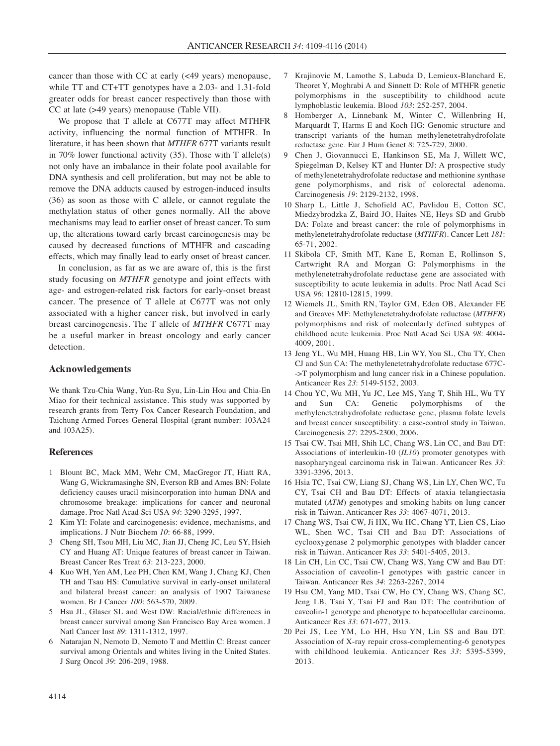cancer than those with CC at early (<49 years) menopause, while TT and CT+TT genotypes have a 2.03- and 1.31-fold greater odds for breast cancer respectively than those with CC at late (>49 years) menopause (Table VII).

We propose that T allele at C677T may affect MTHFR activity, influencing the normal function of MTHFR. In literature, it has been shown that *MTHFR* 677T variants result in 70% lower functional activity  $(35)$ . Those with T allele(s) not only have an imbalance in their folate pool available for DNA synthesis and cell proliferation, but may not be able to remove the DNA adducts caused by estrogen-induced insults (36) as soon as those with C allele, or cannot regulate the methylation status of other genes normally. All the above mechanisms may lead to earlier onset of breast cancer. To sum up, the alterations toward early breast carcinogenesis may be caused by decreased functions of MTHFR and cascading effects, which may finally lead to early onset of breast cancer.

In conclusion, as far as we are aware of, this is the first study focusing on *MTHFR* genotype and joint effects with age- and estrogen-related risk factors for early-onset breast cancer. The presence of T allele at C677T was not only associated with a higher cancer risk, but involved in early breast carcinogenesis. The T allele of *MTHFR* C677T may be a useful marker in breast oncology and early cancer detection.

### **Acknowledgements**

We thank Tzu-Chia Wang, Yun-Ru Syu, Lin-Lin Hou and Chia-En Miao for their technical assistance. This study was supported by research grants from Terry Fox Cancer Research Foundation, and Taichung Armed Forces General Hospital (grant number: 103A24 and 103A25).

### **References**

- 1 Blount BC, Mack MM, Wehr CM, MacGregor JT, Hiatt RA, Wang G, Wickramasinghe SN, Everson RB and Ames BN: Folate deficiency causes uracil misincorporation into human DNA and chromosome breakage: implications for cancer and neuronal damage. Proc Natl Acad Sci USA *94*: 3290-3295, 1997.
- 2 Kim YI: Folate and carcinogenesis: evidence, mechanisms, and implications. J Nutr Biochem *10*: 66-88, 1999.
- 3 Cheng SH, Tsou MH, Liu MC, Jian JJ, Cheng JC, Leu SY, Hsieh CY and Huang AT: Unique features of breast cancer in Taiwan. Breast Cancer Res Treat *63*: 213-223, 2000.
- Kuo WH, Yen AM, Lee PH, Chen KM, Wang J, Chang KJ, Chen TH and Tsau HS: Cumulative survival in early-onset unilateral and bilateral breast cancer: an analysis of 1907 Taiwanese women. Br J Cancer *100*: 563-570, 2009.
- 5 Hsu JL, Glaser SL and West DW: Racial/ethnic differences in breast cancer survival among San Francisco Bay Area women. J Natl Cancer Inst *89*: 1311-1312, 1997.
- 6 Natarajan N, Nemoto D, Nemoto T and Mettlin C: Breast cancer survival among Orientals and whites living in the United States. J Surg Oncol *39*: 206-209, 1988.
- 7 Krajinovic M, Lamothe S, Labuda D, Lemieux-Blanchard E, Theoret Y, Moghrabi A and Sinnett D: Role of MTHFR genetic polymorphisms in the susceptibility to childhood acute lymphoblastic leukemia. Blood *103*: 252-257, 2004.
- 8 Homberger A, Linnebank M, Winter C, Willenbring H, Marquardt T, Harms E and Koch HG: Genomic structure and transcript variants of the human methylenetetrahydrofolate reductase gene. Eur J Hum Genet *8*: 725-729, 2000.
- 9 Chen J, Giovannucci E, Hankinson SE, Ma J, Willett WC, Spiegelman D, Kelsey KT and Hunter DJ: A prospective study of methylenetetrahydrofolate reductase and methionine synthase gene polymorphisms, and risk of colorectal adenoma. Carcinogenesis *19*: 2129-2132, 1998.
- 10 Sharp L, Little J, Schofield AC, Pavlidou E, Cotton SC, Miedzybrodzka Z, Baird JO, Haites NE, Heys SD and Grubb DA: Folate and breast cancer: the role of polymorphisms in methylenetetrahydrofolate reductase (*MTHFR*). Cancer Lett *181*: 65-71, 2002.
- 11 Skibola CF, Smith MT, Kane E, Roman E, Rollinson S, Cartwright RA and Morgan G: Polymorphisms in the methylenetetrahydrofolate reductase gene are associated with susceptibility to acute leukemia in adults. Proc Natl Acad Sci USA *96*: 12810-12815, 1999.
- 12 Wiemels JL, Smith RN, Taylor GM, Eden OB, Alexander FE and Greaves MF: Methylenetetrahydrofolate reductase (*MTHFR*) polymorphisms and risk of molecularly defined subtypes of childhood acute leukemia. Proc Natl Acad Sci USA *98*: 4004- 4009, 2001.
- 13 Jeng YL, Wu MH, Huang HB, Lin WY, You SL, Chu TY, Chen CJ and Sun CA: The methylenetetrahydrofolate reductase 677C- ->T polymorphism and lung cancer risk in a Chinese population. Anticancer Res *23*: 5149-5152, 2003.
- 14 Chou YC, Wu MH, Yu JC, Lee MS, Yang T, Shih HL, Wu TY and Sun CA: Genetic polymorphisms of the methylenetetrahydrofolate reductase gene, plasma folate levels and breast cancer susceptibility: a case-control study in Taiwan. Carcinogenesis *27*: 2295-2300, 2006.
- 15 Tsai CW, Tsai MH, Shih LC, Chang WS, Lin CC, and Bau DT: Associations of interleukin-10 (*IL10*) promoter genotypes with nasopharyngeal carcinoma risk in Taiwan. Anticancer Res *33*: 3391-3396, 2013.
- 16 Hsia TC, Tsai CW, Liang SJ, Chang WS, Lin LY, Chen WC, Tu CY, Tsai CH and Bau DT: Effects of ataxia telangiectasia mutated (*ATM*) genotypes and smoking habits on lung cancer risk in Taiwan. Anticancer Res *33*: 4067-4071, 2013.
- 17 Chang WS, Tsai CW, Ji HX, Wu HC, Chang YT, Lien CS, Liao WL, Shen WC, Tsai CH and Bau DT: Associations of cyclooxygenase 2 polymorphic genotypes with bladder cancer risk in Taiwan. Anticancer Res *33*: 5401-5405, 2013.
- 18 Lin CH, Lin CC, Tsai CW, Chang WS, Yang CW and Bau DT: Association of caveolin-1 genotypes with gastric cancer in Taiwan. Anticancer Res *34*: 2263-2267, 2014
- 19 Hsu CM, Yang MD, Tsai CW, Ho CY, Chang WS, Chang SC, Jeng LB, Tsai Y, Tsai FJ and Bau DT: The contribution of caveolin-1 genotype and phenotype to hepatocellular carcinoma. Anticancer Res *33*: 671-677, 2013.
- 20 Pei JS, Lee YM, Lo HH, Hsu YN, Lin SS and Bau DT: Association of X-ray repair cross-complementing-6 genotypes with childhood leukemia. Anticancer Res *33*: 5395-5399, 2013.